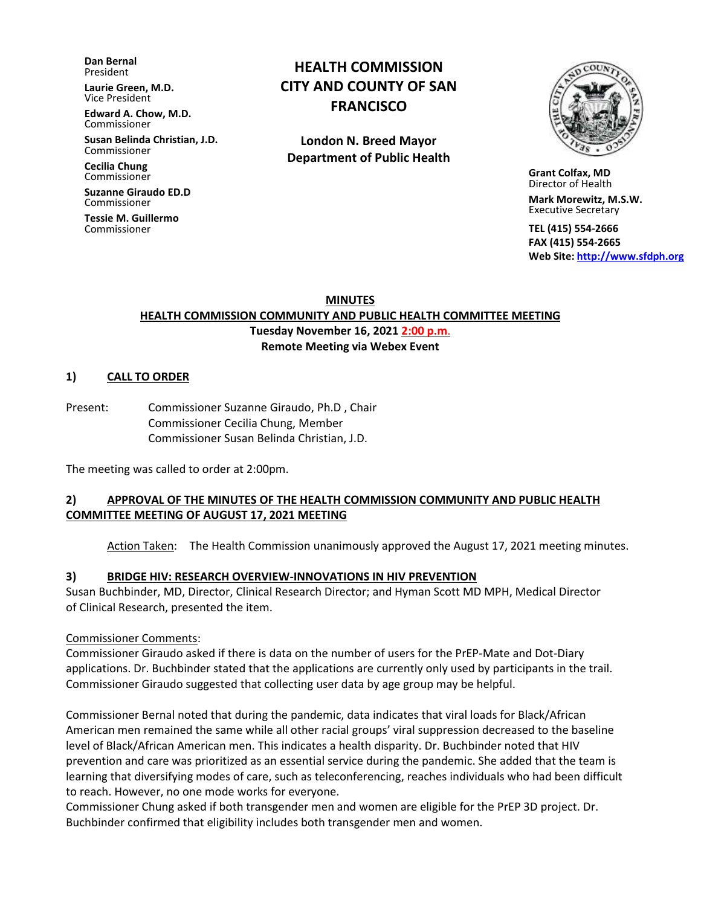**Dan Bernal** President

**Laurie Green, M.D.** Vice President

**Edward A. Chow, M.D.** Commissioner

**Susan Belinda Christian, J.D.** Commissioner

**Cecilia Chung**  Commissioner

**Suzanne Giraudo ED.D** Commissioner

**Tessie M. Guillermo** Commissioner

# **HEALTH COMMISSION CITY AND COUNTY OF SAN FRANCISCO**

**London N. Breed Mayor Department of Public Health**



 **Grant Colfax, MD**  Director of Health

 **Mark Morewitz, M.S.W.**  Executive Secretary

 **TEL (415) 554-2666 FAX (415) 554-2665 Web Site: [http://www.sfdph.org](http://www.sfdph.org/)**

**MINUTES**

#### **HEALTH COMMISSION COMMUNITY AND PUBLIC HEALTH COMMITTEE MEETING Tuesday November 16, 2021 2:00 p.m**. **Remote Meeting via Webex Event**

#### **1) CALL TO ORDER**

Present: Commissioner Suzanne Giraudo, Ph.D , Chair Commissioner Cecilia Chung, Member Commissioner Susan Belinda Christian, J.D.

The meeting was called to order at 2:00pm.

#### **2) APPROVAL OF THE MINUTES OF THE HEALTH COMMISSION COMMUNITY AND PUBLIC HEALTH COMMITTEE MEETING OF AUGUST 17, 2021 MEETING**

Action Taken: The Health Commission unanimously approved the August 17, 2021 meeting minutes.

#### **3) BRIDGE HIV: RESEARCH OVERVIEW-INNOVATIONS IN HIV PREVENTION**

Susan Buchbinder, MD, Director, Clinical Research Director; and Hyman Scott MD MPH, Medical Director of Clinical Research, presented the item.

#### Commissioner Comments:

Commissioner Giraudo asked if there is data on the number of users for the PrEP-Mate and Dot-Diary applications. Dr. Buchbinder stated that the applications are currently only used by participants in the trail. Commissioner Giraudo suggested that collecting user data by age group may be helpful.

Commissioner Bernal noted that during the pandemic, data indicates that viral loads for Black/African American men remained the same while all other racial groups' viral suppression decreased to the baseline level of Black/African American men. This indicates a health disparity. Dr. Buchbinder noted that HIV prevention and care was prioritized as an essential service during the pandemic. She added that the team is learning that diversifying modes of care, such as teleconferencing, reaches individuals who had been difficult to reach. However, no one mode works for everyone.

Commissioner Chung asked if both transgender men and women are eligible for the PrEP 3D project. Dr. Buchbinder confirmed that eligibility includes both transgender men and women.